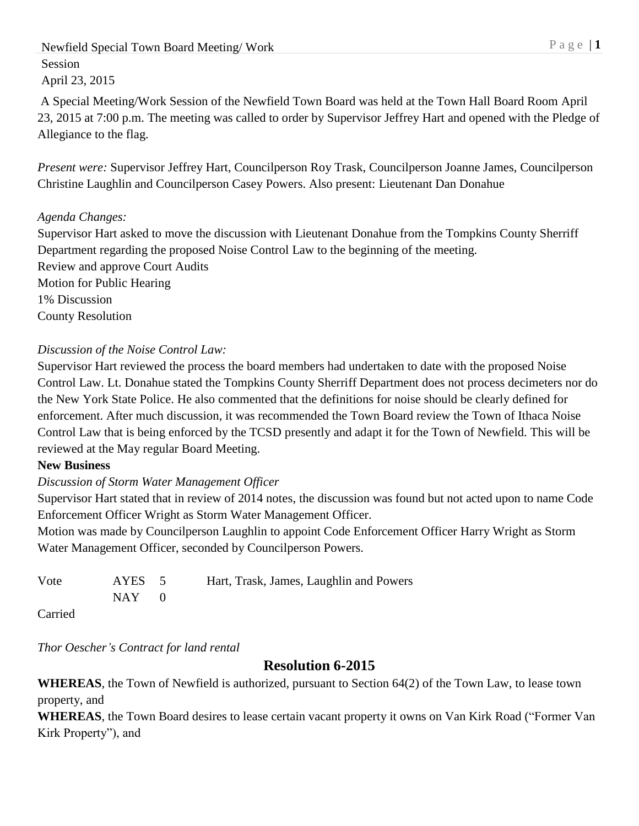Newfield Special Town Board Meeting/Work P a g e | 1 Session April 23, 2015

A Special Meeting/Work Session of the Newfield Town Board was held at the Town Hall Board Room April 23, 2015 at 7:00 p.m. The meeting was called to order by Supervisor Jeffrey Hart and opened with the Pledge of Allegiance to the flag.

*Present were:* Supervisor Jeffrey Hart, Councilperson Roy Trask, Councilperson Joanne James, Councilperson Christine Laughlin and Councilperson Casey Powers. Also present: Lieutenant Dan Donahue

## *Agenda Changes:*

Supervisor Hart asked to move the discussion with Lieutenant Donahue from the Tompkins County Sherriff Department regarding the proposed Noise Control Law to the beginning of the meeting. Review and approve Court Audits Motion for Public Hearing 1% Discussion County Resolution

# *Discussion of the Noise Control Law:*

Supervisor Hart reviewed the process the board members had undertaken to date with the proposed Noise Control Law. Lt. Donahue stated the Tompkins County Sherriff Department does not process decimeters nor do the New York State Police. He also commented that the definitions for noise should be clearly defined for enforcement. After much discussion, it was recommended the Town Board review the Town of Ithaca Noise Control Law that is being enforced by the TCSD presently and adapt it for the Town of Newfield. This will be reviewed at the May regular Board Meeting.

## **New Business**

## *Discussion of Storm Water Management Officer*

Supervisor Hart stated that in review of 2014 notes, the discussion was found but not acted upon to name Code Enforcement Officer Wright as Storm Water Management Officer.

Motion was made by Councilperson Laughlin to appoint Code Enforcement Officer Harry Wright as Storm Water Management Officer, seconded by Councilperson Powers.

| Vote | AYES 5     | Hart, Trask, James, Laughlin and Powers |
|------|------------|-----------------------------------------|
|      | $NAY \t 0$ |                                         |

Carried

*Thor Oescher's Contract for land rental*

# **Resolution 6-2015**

**WHEREAS**, the Town of Newfield is authorized, pursuant to Section 64(2) of the Town Law, to lease town property, and

**WHEREAS**, the Town Board desires to lease certain vacant property it owns on Van Kirk Road ("Former Van Kirk Property"), and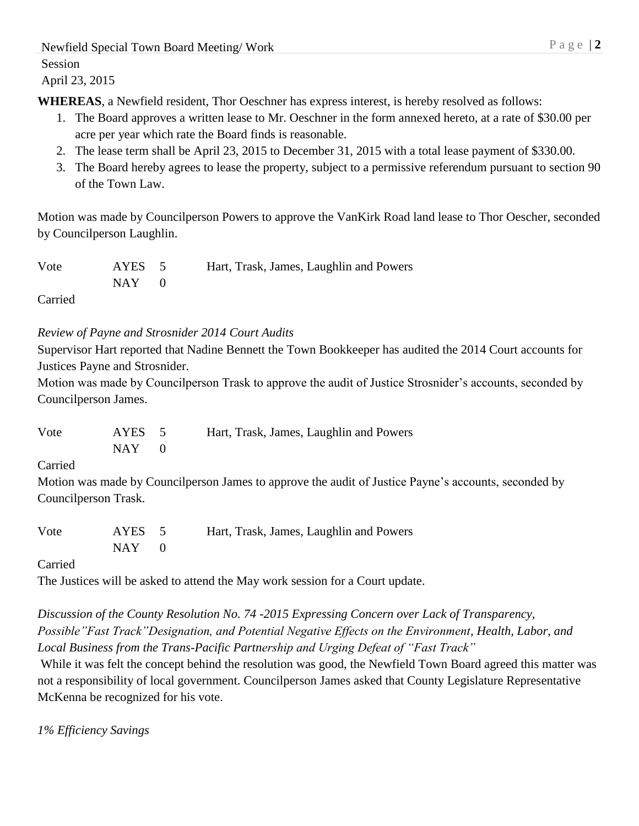Newfield Special Town Board Meeting/Work P a g e | 2

Session

April 23, 2015

**WHEREAS**, a Newfield resident, Thor Oeschner has express interest, is hereby resolved as follows:

- 1. The Board approves a written lease to Mr. Oeschner in the form annexed hereto, at a rate of \$30.00 per acre per year which rate the Board finds is reasonable.
- 2. The lease term shall be April 23, 2015 to December 31, 2015 with a total lease payment of \$330.00.
- 3. The Board hereby agrees to lease the property, subject to a permissive referendum pursuant to section 90 of the Town Law.

Motion was made by Councilperson Powers to approve the VanKirk Road land lease to Thor Oescher, seconded by Councilperson Laughlin.

| Vote | AYES 5    | Hart, Trask, James, Laughlin and Powers |
|------|-----------|-----------------------------------------|
|      | $NAY = 0$ |                                         |

Carried

## *Review of Payne and Strosnider 2014 Court Audits*

Supervisor Hart reported that Nadine Bennett the Town Bookkeeper has audited the 2014 Court accounts for Justices Payne and Strosnider.

Motion was made by Councilperson Trask to approve the audit of Justice Strosnider's accounts, seconded by Councilperson James.

Vote AYES 5 Hart, Trask, James, Laughlin and Powers  $NAY$  0

Carried

Motion was made by Councilperson James to approve the audit of Justice Payne's accounts, seconded by Councilperson Trask.

| Vote | AYES 5    | Hart, Trask, James, Laughlin and Powers |
|------|-----------|-----------------------------------------|
|      | $NAY = 0$ |                                         |

Carried

The Justices will be asked to attend the May work session for a Court update.

*Discussion of the County Resolution No. 74 -2015 Expressing Concern over Lack of Transparency, Possible"Fast Track"Designation, and Potential Negative Effects on the Environment, Health, Labor, and Local Business from the Trans-Pacific Partnership and Urging Defeat of "Fast Track"*

While it was felt the concept behind the resolution was good, the Newfield Town Board agreed this matter was not a responsibility of local government. Councilperson James asked that County Legislature Representative McKenna be recognized for his vote.

*1% Efficiency Savings*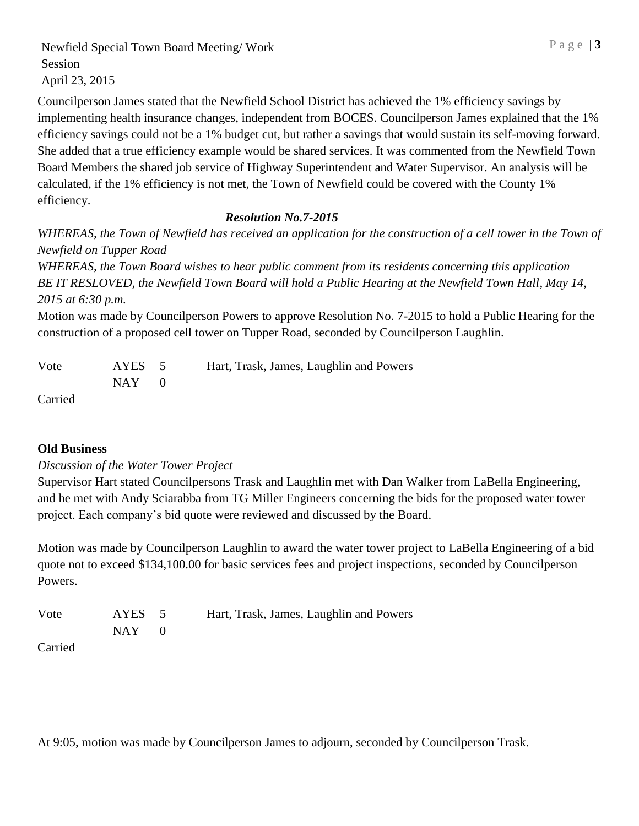Newfield Special Town Board Meeting/Work P a g e | 3

Session

April 23, 2015

Councilperson James stated that the Newfield School District has achieved the 1% efficiency savings by implementing health insurance changes, independent from BOCES. Councilperson James explained that the 1% efficiency savings could not be a 1% budget cut, but rather a savings that would sustain its self-moving forward. She added that a true efficiency example would be shared services. It was commented from the Newfield Town Board Members the shared job service of Highway Superintendent and Water Supervisor. An analysis will be calculated, if the 1% efficiency is not met, the Town of Newfield could be covered with the County 1% efficiency.

# *Resolution No.7-2015*

*WHEREAS, the Town of Newfield has received an application for the construction of a cell tower in the Town of Newfield on Tupper Road*

*WHEREAS, the Town Board wishes to hear public comment from its residents concerning this application BE IT RESLOVED, the Newfield Town Board will hold a Public Hearing at the Newfield Town Hall, May 14, 2015 at 6:30 p.m.* 

Motion was made by Councilperson Powers to approve Resolution No. 7-2015 to hold a Public Hearing for the construction of a proposed cell tower on Tupper Road, seconded by Councilperson Laughlin.

| Vote    | AYES 5    | Hart, Trask, James, Laughlin and Powers |
|---------|-----------|-----------------------------------------|
|         | $NAY = 0$ |                                         |
| Carried |           |                                         |

## **Old Business**

## *Discussion of the Water Tower Project*

Supervisor Hart stated Councilpersons Trask and Laughlin met with Dan Walker from LaBella Engineering, and he met with Andy Sciarabba from TG Miller Engineers concerning the bids for the proposed water tower project. Each company's bid quote were reviewed and discussed by the Board.

Motion was made by Councilperson Laughlin to award the water tower project to LaBella Engineering of a bid quote not to exceed \$134,100.00 for basic services fees and project inspections, seconded by Councilperson Powers.

| Vote                 | AYES 5    | Hart, Trask, James, Laughlin and Powers |
|----------------------|-----------|-----------------------------------------|
|                      | $NAY = 0$ |                                         |
| $\sim$ $\sim$ $\sim$ |           |                                         |

Carried

At 9:05, motion was made by Councilperson James to adjourn, seconded by Councilperson Trask.